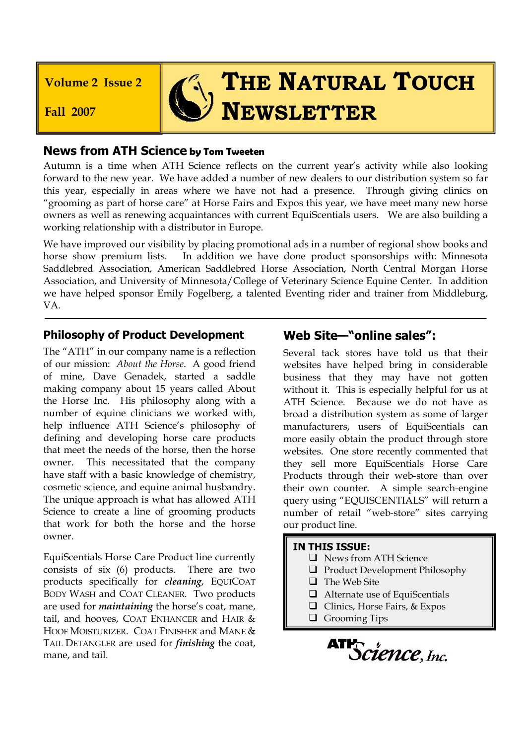**Volume 2 Issue 2**

**Fall 2007**

# **THE NATURAL TOUCH NEWSLETTER**

## **News from ATH Science by Tom Tweeten**

Autumn is a time when ATH Science reflects on the current year's activity while also looking forward to the new year. We have added a number of new dealers to our distribution system so far this year, especially in areas where we have not had a presence. Through giving clinics on "grooming as part of horse care" at Horse Fairs and Expos this year, we have meet many new horse owners as well as renewing acquaintances with current EquiScentials users. We are also building a working relationship with a distributor in Europe.

We have improved our visibility by placing promotional ads in a number of regional show books and horse show premium lists. In addition we have done product sponsorships with: Minnesota Saddlebred Association, American Saddlebred Horse Association, North Central Morgan Horse Association, and University of Minnesota/College of Veterinary Science Equine Center. In addition we have helped sponsor Emily Fogelberg, a talented Eventing rider and trainer from Middleburg, VA.

### **Philosophy of Product Development**

The "ATH" in our company name is a reflection of our mission: *About the Horse*. A good friend of mine, Dave Genadek, started a saddle making company about 15 years called About the Horse Inc. His philosophy along with a number of equine clinicians we worked with, help influence ATH Science's philosophy of defining and developing horse care products that meet the needs of the horse, then the horse owner. This necessitated that the company have staff with a basic knowledge of chemistry, cosmetic science, and equine animal husbandry. The unique approach is what has allowed ATH Science to create a line of grooming products that work for both the horse and the horse owner.

EquiScentials Horse Care Product line currently consists of six (6) products. There are two products specifically for *cleaning*, EQUICOAT BODY WASH and COAT CLEANER. Two products are used for *maintaining* the horse's coat, mane, tail, and hooves, COAT ENHANCER and HAIR & HOOF MOISTURIZER. COAT FINISHER and MANE & TAIL DETANGLER are used for *finishing* the coat, mane, and tail.

## **Web Site—"online sales":**

Several tack stores have told us that their websites have helped bring in considerable business that they may have not gotten without it. This is especially helpful for us at ATH Science. Because we do not have as broad a distribution system as some of larger manufacturers, users of EquiScentials can more easily obtain the product through store websites. One store recently commented that they sell more EquiScentials Horse Care Products through their web-store than over their own counter. A simple search-engine query using "EQUISCENTIALS" will return a number of retail "web-store" sites carrying our product line.

#### **IN THIS ISSUE:**

- **Q** News from ATH Science
- $\Box$  Product Development Philosophy
- $\Box$  The Web Site
- □ Alternate use of EquiScentials
- □ Clinics, Horse Fairs, & Expos
- **Q** Grooming Tips